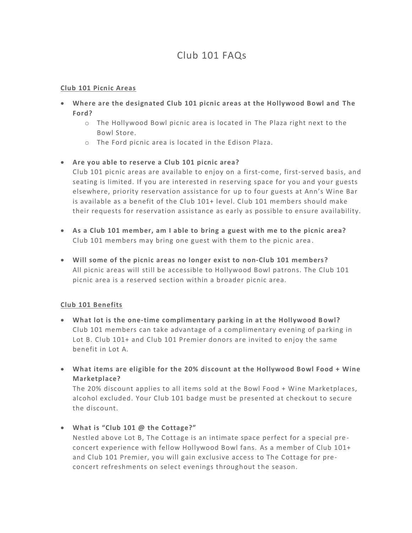# Club 101 FAQs

### **Club 101 Picnic Areas**

- **Where are the designated Club 101 picnic areas at the Hollywood Bowl and The Ford?**
	- o The Hollywood Bowl picnic area is located in The Plaza right next to the Bowl Store.
	- o The Ford picnic area is located in the Edison Plaza.

## • **Are you able to reserve a Club 101 picnic area?**

Club 101 picnic areas are available to enjoy on a first-come, first-served basis, and seating is limited. If you are interested in reserving space for you and your guests elsewhere, priority reservation assistance for up to four guests at Ann's Wine Bar is available as a benefit of the Club 101+ level. Club 101 members should make their requests for reservation assistance as early as possible to ensure availability.

- **As a Club 101 member, am I able to bring a guest with me to the picnic area?** Club 101 members may bring one guest with them to the picnic area .
- **Will some of the picnic areas no longer exist to non-Club 101 members?** All picnic areas will still be accessible to Hollywood Bowl patrons. The Club 101 picnic area is a reserved section within a broader picnic area.

## **Club 101 Benefits**

- **What lot is the one-time complimentary parking in at the Hollywood Bowl?** Club 101 members can take advantage of a complimentary evening of pa rking in Lot B. Club 101+ and Club 101 Premier donors are invited to enjoy the same benefit in Lot A.
- **What items are eligible for the 20% discount at the Hollywood Bowl Food + Wine Marketplace?**

The 20% discount applies to all items sold at the Bowl Food + Wine Marketplaces, alcohol excluded. Your Club 101 badge must be presented at checkout to secure the discount.

• **What is "Club 101 @ the Cottage?"**

Nestled above Lot B, The Cottage is an intimate space perfect for a special pre concert experience with fellow Hollywood Bowl fans. As a member of Club 101+ and Club 101 Premier, you will gain exclusive access to The Cottage for preconcert refreshments on select evenings throughout the season.